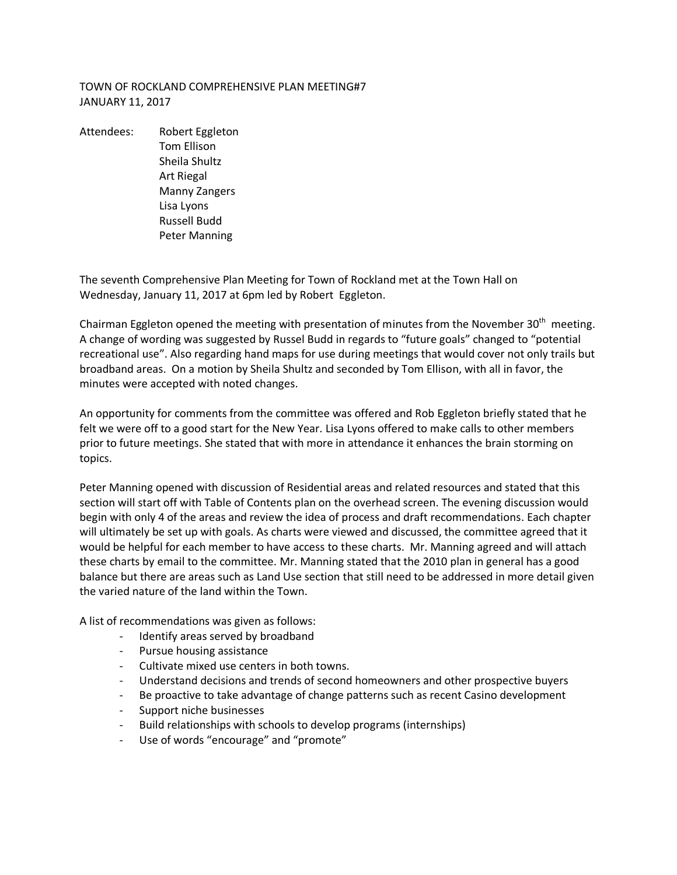## TOWN OF ROCKLAND COMPREHENSIVE PLAN MEETING#7 JANUARY 11, 2017

Attendees: Robert Eggleton Tom Ellison Sheila Shultz Art Riegal Manny Zangers Lisa Lyons Russell Budd Peter Manning

The seventh Comprehensive Plan Meeting for Town of Rockland met at the Town Hall on Wednesday, January 11, 2017 at 6pm led by Robert Eggleton.

Chairman Eggleton opened the meeting with presentation of minutes from the November 30<sup>th</sup> meeting. A change of wording was suggested by Russel Budd in regards to "future goals" changed to "potential recreational use". Also regarding hand maps for use during meetings that would cover not only trails but broadband areas. On a motion by Sheila Shultz and seconded by Tom Ellison, with all in favor, the minutes were accepted with noted changes.

An opportunity for comments from the committee was offered and Rob Eggleton briefly stated that he felt we were off to a good start for the New Year. Lisa Lyons offered to make calls to other members prior to future meetings. She stated that with more in attendance it enhances the brain storming on topics.

Peter Manning opened with discussion of Residential areas and related resources and stated that this section will start off with Table of Contents plan on the overhead screen. The evening discussion would begin with only 4 of the areas and review the idea of process and draft recommendations. Each chapter will ultimately be set up with goals. As charts were viewed and discussed, the committee agreed that it would be helpful for each member to have access to these charts. Mr. Manning agreed and will attach these charts by email to the committee. Mr. Manning stated that the 2010 plan in general has a good balance but there are areas such as Land Use section that still need to be addressed in more detail given the varied nature of the land within the Town.

A list of recommendations was given as follows:

- Identify areas served by broadband
- Pursue housing assistance
- Cultivate mixed use centers in both towns.
- Understand decisions and trends of second homeowners and other prospective buyers
- Be proactive to take advantage of change patterns such as recent Casino development
- Support niche businesses
- Build relationships with schools to develop programs (internships)
- Use of words "encourage" and "promote"